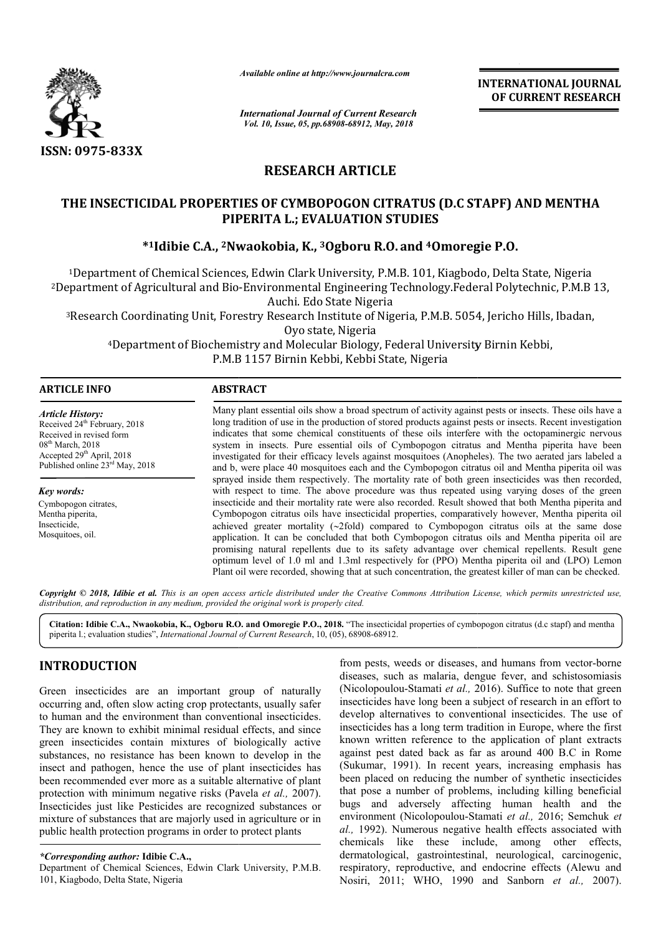

*Available online at http://www.journalcra.com*

*International Journal of Current Research Vol. 10, Issue, 05, pp.68908-68912, May, 2018*

**INTERNATIONAL JOURNAL OF CURRENT RESEARCH**

# **RESEARCH ARTICLE**

## **THE INSECTICIDAL PROPERTIES OF CYMBOPOGON CITRATUS ( (D.C STAPF D.C STAPF) AND MENTHA PIPERITA L.; EVALUATION STUDIES**

# **\*1Idibie C.A., 2Nwaokobia Nwaokobia, K., 3Ogboru R.O. and 4Omoregie P.O Omoregie P.O.**

1Department of Chemical Sciences, Edwin Clark University, P.M.B. 101, Kiagbodo, Delta State, Nigeria <sup>1</sup>Department of Chemical Sciences, Edwin Clark University, P.M.B. 101, Kiagbodo, Delta State, Nigeria<br>2Department of Agricultural and Bio-Environmental Engineering Technology.Federal Polytechnic, P.M.B 13, Auchi. Edo State Nigeria

3Research Coordinating Unit, Forestry Research Institute of Nigeria, P.M.B. 5054, Jericho Hills, Ibadan, Research Oyo state, Nigeria ural and Bio-Environmental Engineering Technology.Federal Polytechnic, P.M.B 13,<br>Auchi. Edo State Nigeria<br>ng Unit, Forestry Research Institute of Nigeria, P.M.B. 5054, Jericho Hills, Ibadan,<br>Oyo state, Nigeria<br>of Biochemis

4Department of Biochemistry and Molecular Biology, Federal University Birnin Kebbi, Department P.M.B 1157 Birnin Kebbi, Kebbi State, Nigeria

| <b>ARTICLE INFO</b>                                                                                                                                                                                 | <b>ABSTRACT</b>                                                                                                                                                                                                                                                                                                                                                                                                                                                                                                                                                                                                                                                                                                                                                                                                                                                                                                                    |  |  |  |  |  |  |
|-----------------------------------------------------------------------------------------------------------------------------------------------------------------------------------------------------|------------------------------------------------------------------------------------------------------------------------------------------------------------------------------------------------------------------------------------------------------------------------------------------------------------------------------------------------------------------------------------------------------------------------------------------------------------------------------------------------------------------------------------------------------------------------------------------------------------------------------------------------------------------------------------------------------------------------------------------------------------------------------------------------------------------------------------------------------------------------------------------------------------------------------------|--|--|--|--|--|--|
| <b>Article History:</b><br>Received 24 <sup>th</sup> February, 2018<br>Received in revised form<br>$08th$ March, 2018<br>Accepted $29th$ April, 2018<br>Published online 23 <sup>rd</sup> May, 2018 | Many plant essential oils show a broad spectrum of activity against pests or insects. These oils have a<br>long tradition of use in the production of stored products against pests or insects. Recent investigation<br>indicates that some chemical constituents of these oils interfere with the octopaminergic nervous<br>system in insects. Pure essential oils of Cymbopogon citratus and Mentha piperita have been<br>investigated for their efficacy levels against mosquitoes (Anopheles). The two aerated jars labeled a<br>and b, were place 40 mosquitoes each and the Cymbopogon citratus oil and Mentha piperita oil was                                                                                                                                                                                                                                                                                              |  |  |  |  |  |  |
| Key words:<br>Cymbopogon citrates,<br>Mentha piperita,<br>Insecticide,<br>Mosquitoes, oil.                                                                                                          | sprayed inside them respectively. The mortality rate of both green insecticides was then recorded,<br>with respect to time. The above procedure was thus repeated using varying doses of the green<br>insecticide and their mortality rate were also recorded. Result showed that both Mentha piperita and<br>Cymbopogon citratus oils have insecticidal properties, comparatively however, Mentha piperita oil<br>achieved greater mortality $(\sim2$ fold) compared to Cymbopogon citratus oils at the same dose<br>application. It can be concluded that both Cymbopogon citratus oils and Mentha piperita oil are<br>promising natural repellents due to its safety advantage over chemical repellents. Result gene<br>optimum level of 1.0 ml and 1.3ml respectively for (PPO) Mentha piperita oil and (LPO) Lemon<br>Plant oil were recorded, showing that at such concentration, the greatest killer of man can be checked. |  |  |  |  |  |  |

Copyright © 2018, Idibie et al. This is an open access article distributed under the Creative Commons Attribution License, which permits unrestricted use, *distribution, and reproduction in any medium, provided the original work is properly cited.*

Citation: Idibie C.A., Nwaokobia, K., Ogboru R.O. and Omoregie P.O., 2018. "The insecticidal properties of cymbopogon citratus (d.c stapf) and mentha piperita l.; evaluation studies", *International Journal of Current Research* , 10, (05), 68908-68912.

## **INTRODUCTION**

Green insecticides are an important group of naturally occurring and, often slow acting crop protectants, usually safer to human and the environment than conventional insecticides. They are known to exhibit minimal residual effects, and since green insecticides contain mixtures of biologically active substances, no resistance has been known to develop in the insect and pathogen, hence the use of plant insecticides has been recommended ever more as a suitable alternative of plant protection with minimum negative risks (Pavela *et al.,* 2007). Insecticides just like Pesticides are recognized substances or mixture of substances that are majorly used in agriculture or in public health protection programs in order to protect plants

*\*Corresponding author:* **Idibie C.A.,** 

Department of Chemical Sciences, Edwin Clark University, P.M.B. 101, Kiagbodo, Delta State, Nigeria

from pests, weeds or diseases, and humans from vector-borne diseases, such as malaria, dengue fever, and schistosomiasis (Nicolopoulou-Stamati *et al.,* 2016). 2016). Suffice to note that green insecticides have long been a subject of research in an effort to develop alternatives to conventional insecticides. The use of insecticides has a long term tradition in Europe, where the first known written reference to the application of plant extracts against pest dated back as far as around 400 B.C in Rome (Sukumar, 1991). In recent years, increasing emphasis has been placed on reducing the number of synthetic insecticides that pose a number of problems, including killing beneficial bugs and adversely affecting human health and the environment (Nicolopoulou-Stamati et al., 2016; Semchuk et *al.,* 1992). Numerous negative health effects associated with chemicals like these include, among other effects, dermatological, gastrointestinal, neurological, carcinogenic, respiratory, reproductive, and endocrine effects (Alewu and Nosiri, 2011; WHO, 1990 and Sanborn et al., 2007). des have long been a subject of research in an effort to alternatives to conventional insecticides. The use of des has a long term tradition in Europe, where the first written reference to the application of plant extracts Vumerous negative health effects associated with<br>like these include, among other effects,<br>cal, gastrointestinal, neurological, carcinogenic,<br>reproductive, and endocrine effects (Alewu and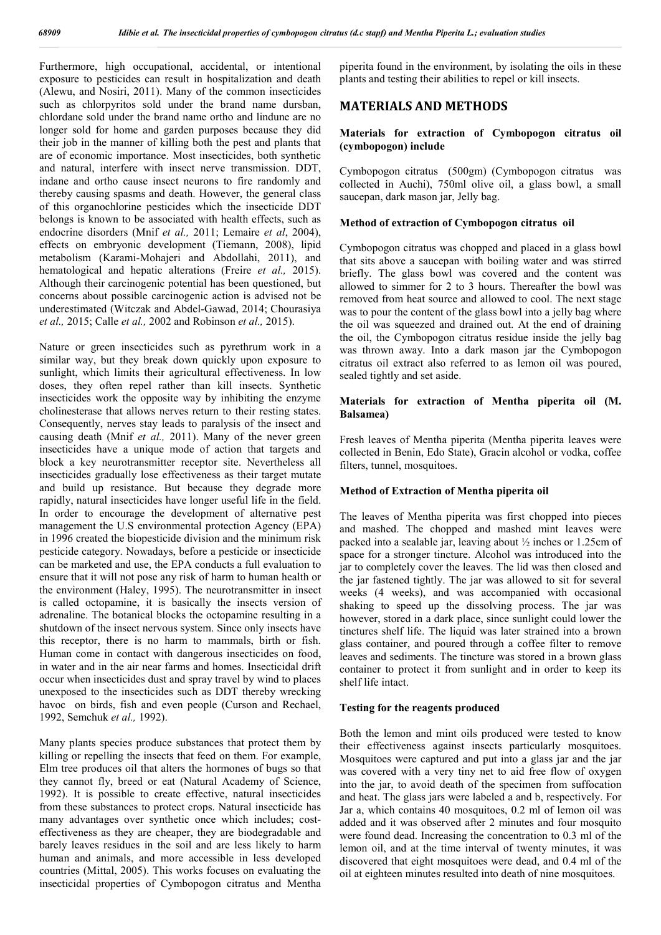Furthermore, high occupational, accidental, or intentional exposure to pesticides can result in hospitalization and death (Alewu, and Nosiri, 2011). Many of the common insecticides such as chlorpyritos sold under the brand name dursban, chlordane sold under the brand name ortho and lindune are no longer sold for home and garden purposes because they did their job in the manner of killing both the pest and plants that are of economic importance. Most insecticides, both synthetic and natural, interfere with insect nerve transmission. DDT, indane and ortho cause insect neurons to fire randomly and thereby causing spasms and death. However, the general class of this organochlorine pesticides which the insecticide DDT belongs is known to be associated with health effects, such as endocrine disorders (Mnif *et al.,* 2011; Lemaire *et al*, 2004), effects on embryonic development (Tiemann, 2008), lipid metabolism (Karami-Mohajeri and Abdollahi, 2011), and hematological and hepatic alterations (Freire *et al.,* 2015). Although their carcinogenic potential has been questioned, but concerns about possible carcinogenic action is advised not be underestimated (Witczak and Abdel-Gawad, 2014; Chourasiya *et al.,* 2015; Calle *et al.,* 2002 and Robinson *et al.,* 2015).

Nature or green insecticides such as pyrethrum work in a similar way, but they break down quickly upon exposure to sunlight, which limits their agricultural effectiveness. In low doses, they often repel rather than kill insects. Synthetic insecticides work the opposite way by inhibiting the enzyme cholinesterase that allows nerves return to their resting states. Consequently, nerves stay leads to paralysis of the insect and causing death (Mnif *et al.,* 2011). Many of the never green insecticides have a unique mode of action that targets and block a key neurotransmitter receptor site. Nevertheless all insecticides gradually lose effectiveness as their target mutate and build up resistance. But because they degrade more rapidly, natural insecticides have longer useful life in the field. In order to encourage the development of alternative pest management the U.S environmental protection Agency (EPA) in 1996 created the biopesticide division and the minimum risk pesticide category. Nowadays, before a pesticide or insecticide can be marketed and use, the EPA conducts a full evaluation to ensure that it will not pose any risk of harm to human health or the environment (Haley, 1995). The neurotransmitter in insect is called octopamine, it is basically the insects version of adrenaline. The botanical blocks the octopamine resulting in a shutdown of the insect nervous system. Since only insects have this receptor, there is no harm to mammals, birth or fish. Human come in contact with dangerous insecticides on food, in water and in the air near farms and homes. Insecticidal drift occur when insecticides dust and spray travel by wind to places unexposed to the insecticides such as DDT thereby wrecking havoc on birds, fish and even people (Curson and Rechael, 1992, Semchuk *et al.,* 1992).

Many plants species produce substances that protect them by killing or repelling the insects that feed on them. For example, Elm tree produces oil that alters the hormones of bugs so that they cannot fly, breed or eat (Natural Academy of Science, 1992). It is possible to create effective, natural insecticides from these substances to protect crops. Natural insecticide has many advantages over synthetic once which includes; costeffectiveness as they are cheaper, they are biodegradable and barely leaves residues in the soil and are less likely to harm human and animals, and more accessible in less developed countries (Mittal, 2005). This works focuses on evaluating the insecticidal properties of Cymbopogon citratus and Mentha

piperita found in the environment, by isolating the oils in these plants and testing their abilities to repel or kill insects.

### **MATERIALS AND METHODS**

#### **Materials for extraction of Cymbopogon citratus oil (cymbopogon) include**

Cymbopogon citratus (500gm) (Cymbopogon citratus was collected in Auchi), 750ml olive oil, a glass bowl, a small saucepan, dark mason jar, Jelly bag.

#### **Method of extraction of Cymbopogon citratus oil**

Cymbopogon citratus was chopped and placed in a glass bowl that sits above a saucepan with boiling water and was stirred briefly. The glass bowl was covered and the content was allowed to simmer for 2 to 3 hours. Thereafter the bowl was removed from heat source and allowed to cool. The next stage was to pour the content of the glass bowl into a jelly bag where the oil was squeezed and drained out. At the end of draining the oil, the Cymbopogon citratus residue inside the jelly bag was thrown away. Into a dark mason jar the Cymbopogon citratus oil extract also referred to as lemon oil was poured, sealed tightly and set aside.

#### **Materials for extraction of Mentha piperita oil (M. Balsamea)**

Fresh leaves of Mentha piperita (Mentha piperita leaves were collected in Benin, Edo State), Gracin alcohol or vodka, coffee filters, tunnel, mosquitoes.

#### **Method of Extraction of Mentha piperita oil**

The leaves of Mentha piperita was first chopped into pieces and mashed. The chopped and mashed mint leaves were packed into a sealable jar, leaving about ½ inches or 1.25cm of space for a stronger tincture. Alcohol was introduced into the jar to completely cover the leaves. The lid was then closed and the jar fastened tightly. The jar was allowed to sit for several weeks (4 weeks), and was accompanied with occasional shaking to speed up the dissolving process. The jar was however, stored in a dark place, since sunlight could lower the tinctures shelf life. The liquid was later strained into a brown glass container, and poured through a coffee filter to remove leaves and sediments. The tincture was stored in a brown glass container to protect it from sunlight and in order to keep its shelf life intact.

#### **Testing for the reagents produced**

Both the lemon and mint oils produced were tested to know their effectiveness against insects particularly mosquitoes. Mosquitoes were captured and put into a glass jar and the jar was covered with a very tiny net to aid free flow of oxygen into the jar, to avoid death of the specimen from suffocation and heat. The glass jars were labeled a and b, respectively. For Jar a, which contains 40 mosquitoes, 0.2 ml of lemon oil was added and it was observed after 2 minutes and four mosquito were found dead. Increasing the concentration to 0.3 ml of the lemon oil, and at the time interval of twenty minutes, it was discovered that eight mosquitoes were dead, and 0.4 ml of the oil at eighteen minutes resulted into death of nine mosquitoes.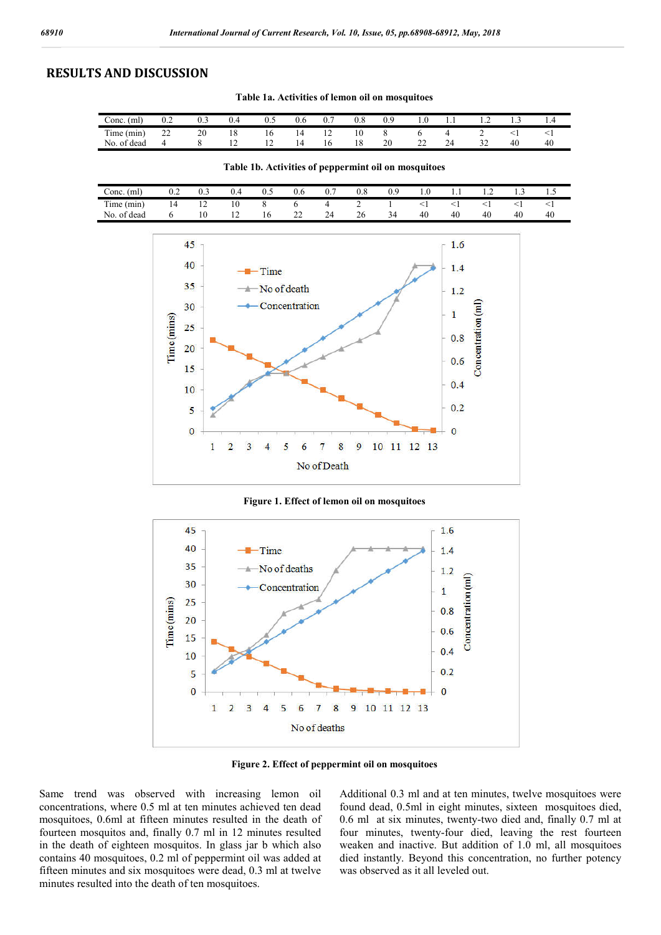### **RESULTS AND DISCUSSION**

**Table 1a. Activities of lemon oil on mosquitoes**

| Conc.<br>(ml          | $_{\rm 0.2}$ | U.J | v.+ | ∪.J | v.o | 0.                       | v.o | 0.9 | 1.U | 1.1          |   | .  | 1.7 |  |
|-----------------------|--------------|-----|-----|-----|-----|--------------------------|-----|-----|-----|--------------|---|----|-----|--|
| nesses.<br>Time (min) | $\sim$<br>∸  | 20  | 18  | 10  |     | $\overline{\phantom{0}}$ | 10  |     |     |              | ∼ |    |     |  |
| of dead<br>No.        |              |     | --  |     |     | 16                       | 18  | 20  | --  | $\sim$<br>24 | - | 40 | 40  |  |

**Table 1b. Activities of peppermint oil on mosquitoes**

| Conc.<br>(ml   | ົ່<br>◡.∸ | 0.3            | v.4 | U.J | v.o         | $\mathbf{U}$ .      | $0.\delta$ | v., | 1.V | $\cdot$ . | .  | .  | $\cdot \cdot$ |  |
|----------------|-----------|----------------|-----|-----|-------------|---------------------|------------|-----|-----|-----------|----|----|---------------|--|
| Time (min)     |           | $\overline{ }$ | 10  |     |             |                     |            |     |     |           |    |    |               |  |
| of dead<br>No. |           | 10             | --  | 1 V | $\sim$<br>∸ | $\mathcal{L}$<br>24 | 26         | 34  | 40  | 40        | 40 | 40 | 40            |  |



**Figure 1. Effect of lemon oil on mosquitoes**



**Figure 2. Effect of peppermint oil on mosquitoes**

Same trend was observed with increasing lemon oil concentrations, where 0.5 ml at ten minutes achieved ten dead mosquitoes, 0.6ml at fifteen minutes resulted in the death of fourteen mosquitos and, finally 0.7 ml in 12 minutes resulted in the death of eighteen mosquitos. In glass jar b which also contains 40 mosquitoes, 0.2 ml of peppermint oil was added at fifteen minutes and six mosquitoes were dead, 0.3 ml at twelve minutes resulted into the death of ten mosquitoes.

Additional 0.3 ml and at ten minutes, twelve mosquitoes were found dead, 0.5ml in eight minutes, sixteen mosquitoes died, 0.6 ml at six minutes, twenty-two died and, finally 0.7 ml at four minutes, twenty-four died, leaving the rest fourteen weaken and inactive. But addition of 1.0 ml, all mosquitoes died instantly. Beyond this concentration, no further potency was observed as it all leveled out.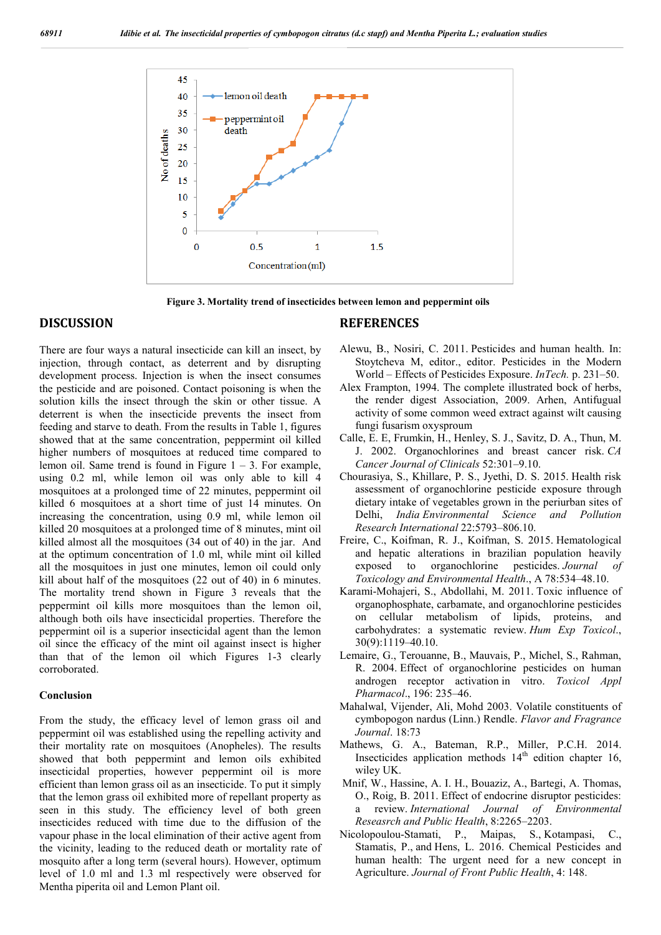

**Figure 3. Mortality trend of insecticides between lemon and peppermint oils**

### **DISCUSSION**

There are four ways a natural insecticide can kill an insect, by injection, through contact, as deterrent and by disrupting development process. Injection is when the insect consumes the pesticide and are poisoned. Contact poisoning is when the solution kills the insect through the skin or other tissue. A deterrent is when the insecticide prevents the insect from feeding and starve to death. From the results in Table 1, figures showed that at the same concentration, peppermint oil killed higher numbers of mosquitoes at reduced time compared to lemon oil. Same trend is found in Figure  $1 - 3$ . For example, using 0.2 ml, while lemon oil was only able to kill 4 mosquitoes at a prolonged time of 22 minutes, peppermint oil killed 6 mosquitoes at a short time of just 14 minutes. On increasing the concentration, using 0.9 ml, while lemon oil killed 20 mosquitoes at a prolonged time of 8 minutes, mint oil killed almost all the mosquitoes (34 out of 40) in the jar. And at the optimum concentration of 1.0 ml, while mint oil killed all the mosquitoes in just one minutes, lemon oil could only kill about half of the mosquitoes (22 out of 40) in 6 minutes. The mortality trend shown in Figure 3 reveals that the peppermint oil kills more mosquitoes than the lemon oil, although both oils have insecticidal properties. Therefore the peppermint oil is a superior insecticidal agent than the lemon oil since the efficacy of the mint oil against insect is higher than that of the lemon oil which Figures 1-3 clearly corroborated.

#### **Conclusion**

From the study, the efficacy level of lemon grass oil and peppermint oil was established using the repelling activity and their mortality rate on mosquitoes (Anopheles). The results showed that both peppermint and lemon oils exhibited insecticidal properties, however peppermint oil is more efficient than lemon grass oil as an insecticide. To put it simply that the lemon grass oil exhibited more of repellant property as seen in this study. The efficiency level of both green insecticides reduced with time due to the diffusion of the vapour phase in the local elimination of their active agent from the vicinity, leading to the reduced death or mortality rate of mosquito after a long term (several hours). However, optimum level of 1.0 ml and 1.3 ml respectively were observed for Mentha piperita oil and Lemon Plant oil.

#### **REFERENCES**

- Alewu, B., Nosiri, C. 2011. Pesticides and human health. In: Stoytcheva M, editor., editor. Pesticides in the Modern World – Effects of Pesticides Exposure. *InTech.* p. 231–50.
- Alex Frampton, 1994. The complete illustrated bock of herbs, the render digest Association, 2009. Arhen, Antifugual activity of some common weed extract against wilt causing fungi fusarism oxysproum
- Calle, E. E, Frumkin, H., Henley, S. J., Savitz, D. A., Thun, M. J. 2002. Organochlorines and breast cancer risk. *CA Cancer Journal of Clinicals* 52:301–9.10.
- Chourasiya, S., Khillare, P. S., Jyethi, D. S. 2015. Health risk assessment of organochlorine pesticide exposure through dietary intake of vegetables grown in the periurban sites of Delhi, *India Environmental Science and Pollution Research International* 22:5793–806.10.
- Freire, C., Koifman, R. J., Koifman, S. 2015. Hematological and hepatic alterations in brazilian population heavily exposed to organochlorine pesticides. *Journal of Toxicology and Environmental Health*., A 78:534–48.10.
- Karami-Mohajeri, S., Abdollahi, M. 2011. Toxic influence of organophosphate, carbamate, and organochlorine pesticides on cellular metabolism of lipids, proteins, and carbohydrates: a systematic review. *Hum Exp Toxicol*., 30(9):1119–40.10.
- Lemaire, G., Terouanne, B., Mauvais, P., Michel, S., Rahman, R. 2004. Effect of organochlorine pesticides on human androgen receptor activation in vitro. *Toxicol Appl Pharmacol*., 196: 235–46.
- Mahalwal, Vijender, Ali, Mohd 2003. Volatile constituents of cymbopogon nardus (Linn.) Rendle. *Flavor and Fragrance Journal*. 18:73
- Mathews, G. A., Bateman, R.P., Miller, P.C.H. 2014. Insecticides application methods  $14<sup>th</sup>$  edition chapter 16, wiley UK.
- Mnif, W., Hassine, A. I. H., Bouaziz, A., Bartegi, A. Thomas, O., Roig, B. 2011. Effect of endocrine disruptor pesticides: a review. *International Journal of Environmental Reseasrch and Public Health*, 8:2265–2203.
- Nicolopoulou-Stamati, P., Maipas, S., Kotampasi, C., Stamatis, P., and Hens, L. 2016. Chemical Pesticides and human health: The urgent need for a new concept in Agriculture. *Journal of Front Public Health*, 4: 148.